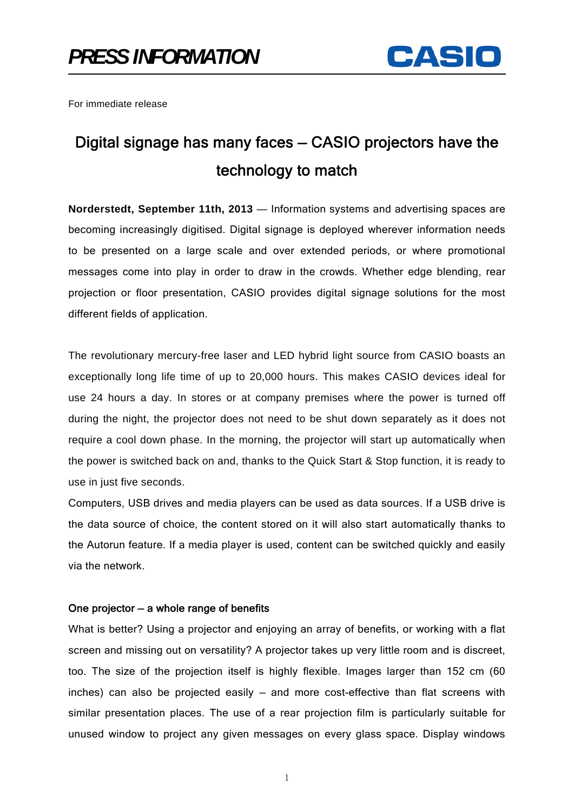

For immediate release

## Digital signage has many faces — CASIO projectors have the technology to match

**Norderstedt, September 11th, 2013** — Information systems and advertising spaces are becoming increasingly digitised. Digital signage is deployed wherever information needs to be presented on a large scale and over extended periods, or where promotional messages come into play in order to draw in the crowds. Whether edge blending, rear projection or floor presentation, CASIO provides digital signage solutions for the most different fields of application.

The revolutionary mercury-free laser and LED hybrid light source from CASIO boasts an exceptionally long life time of up to 20,000 hours. This makes CASIO devices ideal for use 24 hours a day. In stores or at company premises where the power is turned off during the night, the projector does not need to be shut down separately as it does not require a cool down phase. In the morning, the projector will start up automatically when the power is switched back on and, thanks to the Quick Start & Stop function, it is ready to use in just five seconds.

Computers, USB drives and media players can be used as data sources. If a USB drive is the data source of choice, the content stored on it will also start automatically thanks to the Autorun feature. If a media player is used, content can be switched quickly and easily via the network.

## One projector — a whole range of benefits

What is better? Using a projector and enjoying an array of benefits, or working with a flat screen and missing out on versatility? A projector takes up very little room and is discreet, too. The size of the projection itself is highly flexible. Images larger than 152 cm (60 inches) can also be projected easily — and more cost-effective than flat screens with similar presentation places. The use of a rear projection film is particularly suitable for unused window to project any given messages on every glass space. Display windows